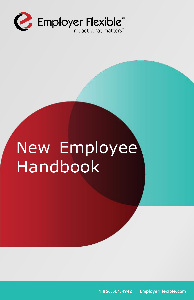

# New Employee Handbook

**1.866.501.4942 | EmployerFlexible.com**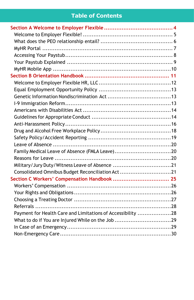# **Table of Contents**

| Family Medical Leave of Absence (FMLA Leave)20              |  |
|-------------------------------------------------------------|--|
|                                                             |  |
|                                                             |  |
| Consolidated Omnibus Budget Reconciliation Act21            |  |
|                                                             |  |
|                                                             |  |
|                                                             |  |
|                                                             |  |
|                                                             |  |
| Payment for Health Care and Limitations of Accessibility 28 |  |
| What to do if You are Injured While on the Job 29           |  |
|                                                             |  |
|                                                             |  |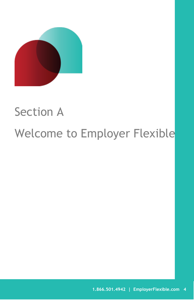

# <span id="page-3-0"></span>Section A

# Welcome to Employer Flexible

34]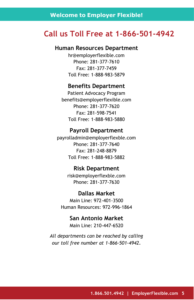# <span id="page-4-0"></span>**Call us Toll Free at 1-866-501-4942**

#### **Human Resources Department**

hr@employerflexible.com Phone: 281-377-7610 Fax: 281-377-7459 Toll Free: 1-888-983-5879

#### **Benefits Department**

Patient Advocacy Program [benefits@employerflexible.com](mailto:benefits@employerflexible.com) Phone: 281-377-7620 Fax: 281-598-7541 Toll Free: 1-888-983-5880

### **Payroll Department**

payrolladmin@employerflexble.com Phone: 281-377-7640 Fax: 281-248-8879 Toll Free: 1-888-983-5882

#### **Risk Department**

risk@employerflexble.com Phone: 281-377-7630

#### **Dallas Market**

Main Line: 972-401-3500 Human Resources: 972-996-1864

> **San Antonio Market** Main Line: 210-447-6520

*All departments can be reached by calling our toll free number at 1-866-501-4942.*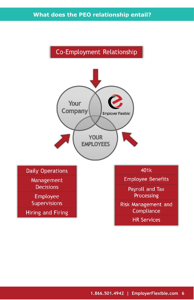

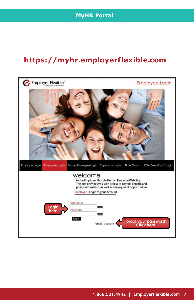# **https://myhr.employerflexible.com**

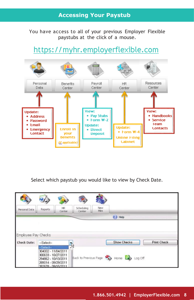## **Accessing Your Paystub**

You have access to all of your previous Employer Flexible paystubs at the click of a mouse.

# https://myhr.employerflexible.com



Select which paystub you would like to view by Check Date.

| Personal Data       | <b>Reports</b>                                                                                                                | HR.<br>Center | Scheduling<br>Center | New<br>Hire: |                                            |                    |
|---------------------|-------------------------------------------------------------------------------------------------------------------------------|---------------|----------------------|--------------|--------------------------------------------|--------------------|
|                     |                                                                                                                               |               |                      |              | Heip                                       |                    |
| Employee Pay Checks |                                                                                                                               |               |                      |              |                                            |                    |
| <b>Check Date:</b>  | --Select--                                                                                                                    |               |                      |              | <b>Show Checks</b>                         | <b>Print Check</b> |
|                     | --Select--<br>304002 - 11/04/2011<br>300633 - 10/27/2011<br>294862 - 10/13/2011<br>289014 - 09/29/2011<br>282678 - 09/15/2011 |               | 74                   |              | Back to Previous Page (2) Home (2) Log Off |                    |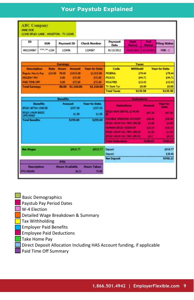# **Your Paystub Explained**

| <b>ABC Company</b><br><b>JANE DOE</b>                                                                                  | 12345 EFLEX LANE . HOUSTON . TX 12345 |                                                                                                                    |                                                                       |                                                                                                                                                                 |                             |                                              |                                                                           |
|------------------------------------------------------------------------------------------------------------------------|---------------------------------------|--------------------------------------------------------------------------------------------------------------------|-----------------------------------------------------------------------|-----------------------------------------------------------------------------------------------------------------------------------------------------------------|-----------------------------|----------------------------------------------|---------------------------------------------------------------------------|
| ID.                                                                                                                    | <b>SSN</b>                            | <b>Payment ID</b>                                                                                                  | <b>Check Number</b>                                                   | Payment<br>Date                                                                                                                                                 | <b>Silbert</b><br>Period    | <b>East</b><br><b>Permissil</b>              | <b>Filing Status</b>                                                      |
| HO1234567                                                                                                              | ***. **. 1234                         | 123456                                                                                                             | 1234567                                                               | 01/15/2012                                                                                                                                                      | 31/01/2012                  | 01/15/20                                     | <b>MAR-1</b>                                                              |
|                                                                                                                        |                                       | Earnings                                                                                                           |                                                                       |                                                                                                                                                                 | <b>Taxes</b>                |                                              |                                                                           |
| <b>Description</b><br><b>Regular Houriv Pay</b><br><b>HOLIDAY PAY</b><br><b>PAID TIME OFF</b><br><b>Total Earnings</b> | £14.55                                | <b>Rate: Hours</b><br><b>Arnount</b><br>\$1015.00<br>70.00<br>5.00<br>\$72.50<br>5.00<br>172.50<br>80.00 51.160.00 | <b>Year-to-Date</b><br>\$1,015.00<br>\$72.50<br>\$72.50<br>\$1.160.00 | Code<br><b>FEDERAL</b><br><b>FIGA/SS</b><br><b>FICA/MED</b><br>TX State Tax:<br><b>Total Taxes</b>                                                              | <b>Withheld</b><br>\$139.58 | 179.44<br>\$44.71<br>\$15.43<br>\$0.00       | <b>Vear-to-Date</b><br>179.44<br>\$44.71<br>\$15.43<br>\$0.00<br>\$139.58 |
|                                                                                                                        | <b>Benefits</b>                       | <b>Benefits</b><br>Amount                                                                                          | <b>Vear-to-Date</b>                                                   |                                                                                                                                                                 | <b>Deductions</b>           |                                              | Vear-to-                                                                  |
| EFLEX AETIVA 1500 EE<br><b>EFLEX LINUM BASIC</b><br>LIFE/AD&D                                                          |                                       | 1257.50<br>\$1.50                                                                                                  | £257.50<br>\$1.50                                                     | EFLEX HUM DENTAL LO PLAN.                                                                                                                                       | <b>Deductions</b>           | <b>Automobil</b><br>\$47.20                  | <b>Date</b><br>547.20                                                     |
| <b>Total Benefits</b>                                                                                                  |                                       | \$259.00                                                                                                           | \$259.00                                                              | <b>FLEXIBLE SPECIENS ACCOUNT</b><br>EFLEX UNLIN VOL TRH LIFE EE<br><b>HUMAN EREX VISION FF</b><br>EFLEX UNLIN VOL. TRM LIFE ES-<br>EFLEX UNLIN VOL. TRH LIFE EC |                             | \$38.46<br>13.05<br>110.14<br>\$1.55<br>10.2 | 138.46<br>\$3.05<br>110.14<br>\$1.55<br>59.75                             |
|                                                                                                                        |                                       |                                                                                                                    |                                                                       | <b>Intal Deductions</b>                                                                                                                                         |                             | \$100.65                                     | \$100.4                                                                   |
| <b>Net Wages</b>                                                                                                       |                                       | \$919.77                                                                                                           | 1919.77                                                               | <b>Deposit</b><br><b>Deposit</b>                                                                                                                                |                             |                                              | <b>£919.77</b><br>138.46                                                  |
| <b>Description</b><br><b>PTO HOURS</b>                                                                                 |                                       | <b>PTO</b><br><b>Hours Available</b><br>$26 - 21$                                                                  | <b>Hours Taken</b><br>7100                                            | <b>Net Deposit</b>                                                                                                                                              |                             |                                              | \$958.23                                                                  |

- $\frac{1}{2}$  Basic Demographics
- Paystub Pay Period Dates
- W-4 Election
	- Detailed Wage Breakdown & Summary
- Tax Withholding
- Employer Paid Benefits
- Employee Paid Deductions
- Take Home Pay
- Direct Deposit Allocation Including HAS Account funding, if applicable
	- Paid Time Off Summary D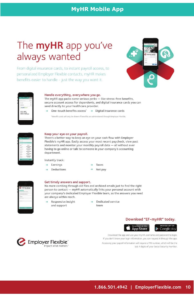# **MyHR Mobile App**

# The **myHR** app you've always wanted

From digital insurance cards, to instant payroll access, to personalized Employer Flexible contacts, myHR makes benefits easier to handle - just the way you want it.



| <b>Call Provide</b> | n |
|---------------------|---|
| w                   |   |
| <b>Email Card</b>   |   |
| at fealth Smart     |   |
| more.<br>e.         |   |

#### Handle everything, everywhere you go.

The myHR app packs some serious perks - like stress-free benefits, secure account access for dependents, and digital insurance cards you can send directly to your healthcare provider.

 $\rightarrow$  One-touch benefits access'  $\rightarrow$  Digital insurance cards

\*Benefit cards will only be shown if benefits are administered through Employer Flexible.

| <b>STATISTICS</b>            | -------- |
|------------------------------|----------|
|                              |          |
| Pavid                        |          |
|                              | ٠        |
| T.O.                         |          |
| w.<br>--                     |          |
| --<br>57.7                   |          |
| her, at<br>an Co             |          |
| 5555<br><b>house</b>         |          |
| $\sim$                       | --       |
| basical 1                    |          |
| <b>COLL</b><br>m.            |          |
| <b>Security</b><br>. .<br>÷. |          |
| $\pm$                        |          |
| <b>MALES</b>                 |          |
|                              |          |
|                              |          |
|                              |          |

#### Keep your eye on your payroll.

There's a better way to keep an eye on your cash flow with Employer Flexible's myHR app. Easily access your most recent paycheck, view past statements and monitor your monthly payroll data - all without ever having to go online or talk to someone in your company's accounting department.

Instantly track:

- $\rightarrow$  Earnings
- $\rightarrow$  Deductions
- Taxes Net pay
- 
- Get timely answers and support.

No more combing through old files and archived emails just to find the right person to contact - myHR automatically links your personal account with your company's dedicated Employer Flexible team, so the answers you need are always within reach.

 $\rightarrow$  Responsive insight and support

 $\rightarrow$  Dedicated service team

#### Download "EF-myHR" today.



Google play

Download the app and use your myHR username and password to login. If you don't know your login information, you can request it through the app.

Accessing your payroll information will require a PIN number, which will be the last 4 digits of your Social Security Number.

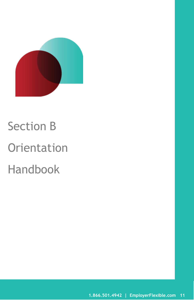

# <span id="page-10-0"></span>Section B **Orientation** Handbook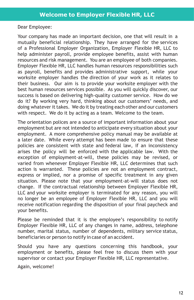<span id="page-11-0"></span>Dear Employee:

Your company has made an important decision, one that will result in a mutually beneficial relationship. They have arranged for the services of a Professional Employer Organization, Employer Flexible HR, LLC to help administer payroll, provide employee benefits, assist with human resources and risk management. You are an employee of both companies. Employer Flexible HR, LLC handles human resources responsibilities such as payroll, benefits and provides administrative support, while your worksite employer handles the direction of your work as it relates to their business. Our aim is to provide your worksite employer with the best human resources services possible. As you will quickly discover, our success is based on delivering high-quality customer service. How do we do it? By working very hard, thinking about our customers' needs, and doing whatever it takes. We do it by treating each other and our customers with respect. We do it by acting as a team. Welcome to the team.

The orientation polices are a source of important information about your employment but are not intended to anticipate every situation about your employment. A more comprehensive policy manual may be available at a later date. While every attempt has been made to ensure that these policies are consistent with state and federal law, if an inconsistency arises the policy will be enforced with the applicable law. With the exception of employment-at-will, these policies may be revised, or varied from whenever Employer Flexible HR, LLC determines that such action is warranted. These policies are not an employment contract, express or implied, nor a promise of specific treatment in any given situation. Please note that your employment-at-will status does not change. If the contractual relationship between Employer Flexible HR, LLC and your worksite employer is terminated for any reason, you will no longer be an employee of Employer Flexible HR, LLC and you will receive notification regarding the disposition of your final paycheck and your benefits.

Please be reminded that it is the employee's responsibility to notify Employer Flexible HR, LLC of any changes in name, address, telephone number, marital status, number of dependents, military service status, beneficiaries or person to notify in case of an accident.

Should you have any questions concerning this handbook, your employment or benefits, please feel free to discuss them with your supervisor or contact your Employer Flexible HR, LLC representative.

Again, welcome!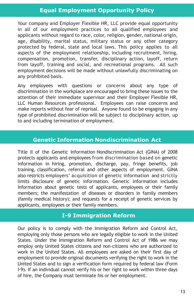# <span id="page-12-0"></span>**Equal Employment Opportunity Policy**

Your company and Employer Flexible HR, LLC provide equal opportunity in all of our employment practices to all qualified employees and applicants without regard to race, color, religion, gender, national origin, age, disability, marital status, military status or any other category protected by federal, state and local laws. This policy applies to all aspects of the employment relationship, including recruitment, hiring, compensation, promotion, transfer, disciplinary action, layoff, return from layoff, training and social, and recreational programs. All such employment decisions will be made without unlawfully discriminating on any prohibited basis.

Any employees with questions or concerns about any type of discrimination in the workplace are encouraged to bring these issues to the attention of their immediate supervisor and their Employer Flexible HR, LLC Human Resources professional. Employees can raise concerns and make reports without fear of reprisal. Anyone found to be engaging in any type of prohibited discrimination will be subject to disciplinary action, up to and including termination of employment.

# **Genetic Information Nondiscrimination Act**

<span id="page-12-1"></span>Title II of the Genetic Information Nondiscrimination Act (GINA) of 2008 protects applicants and employees from discrimination based on genetic information in hiring, promotion, discharge, pay, fringe benefits, job training, classification, referral and other aspects of employment. GINA also restricts employers' acquisition of genetic information and strictly limits disclosure of genetic information. Genetic information includes information about genetic tests of applicants, employees or their family members; the manifestation of diseases or disorders in family members (family medical history); and requests for a receipt of genetic services by applicants, employees or their family members.

# **I-9 Immigration Reform**

Our policy is to comply with the Immigration Reform and Control Act, employing only those persons who are legally eligible to work in the United States. Under the Immigration Reform and Control Act of 1986 we may employ only United States citizens and non-citizens who are authorized to work in the United States. All employees are asked on their first day of employment to provide original documents verifying the right to work in the United States and to sign a verification form required by federal law (Form I-9). If an individual cannot verify his or her right to work within three days of hire, the Company must terminate his or her employment.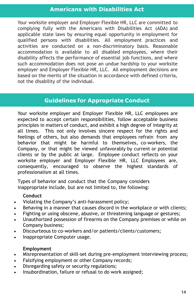## <span id="page-13-0"></span>**Americans with Disabilities Act**

Your worksite employer and Employer Flexible HR, LLC are committed to complying fully with the Americans with Disabilities Act (ADA) and applicable state laws by ensuring equal opportunity in employment for qualified persons with disabilities. All employment practices and activities are conducted on a non-discriminatory basis. Reasonable accommodation is available to all disabled employees, where their disability affects the performance of essential job functions, and where such accommodation does not pose an undue hardship to your worksite employer and Employer Flexible HR, LLC. All employment decisions are based on the merits of the situation in accordance with defined criteria, not the disability of the individual.

# **Guidelines for Appropriate Conduct**

<span id="page-13-1"></span>Your worksite employer and Employer Flexible HR, LLC employees are expected to accept certain responsibilities, follow acceptable business principles in matters of conduct, and exhibit a high degree of integrity at all times. This not only involves sincere respect for the rights and feelings of others, but also demands that employees refrain from any behavior that might be harmful to themselves, co-workers, the Company, or that might be viewed unfavorably by current or potential clients or by the public at large. Employee conduct reflects on your worksite employer and Employer Flexible HR, LLC Employees are, consequently, encouraged to observe the highest standards of professionalism at all times.

Types of behavior and conduct that the Company considers inappropriate include, but are not limited to, the following:

#### **Conduct**

- Violating the Company's anti-harassment policy;
- Behaving in a manner that causes discord in the workplace or with clients;
- Fighting or using obscene, abusive, or threatening language or gestures;
- Unauthorized possession of firearms on the Company premises or while on Company business;
- Discourteous to co-workers and/or patients/clients/customers;
- Inappropriate Computer usage.

#### **Employment**

- Misrepresentation of skill-set during pre-employment interviewing process;
- Falsifying employment or other Company records;
- Disregarding safety or security regulations;
- Insubordination, failure or refusal to do work assigned;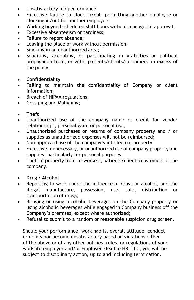- Unsatisfactory job performance;
- Excessive failure to clock in/out, permitting another employee or clocking in/out for another employee;
- Working beyond scheduled shift hours without managerial approval;
- Excessive absenteeism or tardiness;
- Failure to report absence;
- Leaving the place of work without permission;
- Smoking in an unauthorized area:
- Soliciting, accepting, or participating in gratuities or political propaganda from, or with, patients/clients/customers in excess of the policy.
- **Confidentiality**
- Failing to maintain the confidentiality of Company or client information;
- Breach of HIPAA regulations;
- Gossiping and Maligning;
- **Theft**
- Unauthorized use of the company name or credit for vendor relationships, personal gain, or personal use;
- Unauthorized purchases or returns of company property and / or supplies as unauthorized expenses will not be reimbursed;
- Non-approved use of the company's intellectual property
- Excessive, unnecessary, or unauthorized use of company property and supplies, particularly for personal purposes;
- Theft of property from co-workers, patients/clients/customers or the company.
- **Drug / Alcohol**
- Reporting to work under the influence of drugs or alcohol, and the illegal manufacture, possession, use, sale, distribution or transportation of drugs;
- Bringing or using alcoholic beverages on the Company property or using alcoholic beverages while engaged in Company business off the Company's premises, except where authorized;
- Refusal to submit to a random or reasonable suspicion drug screen.

Should your performance, work habits, overall attitude, conduct or demeanor become unsatisfactory based on violations either of the above or of any other policies, rules, or regulations of your worksite employer and/or Employer Flexible HR, LLC, you will be subject to disciplinary action, up to and including termination.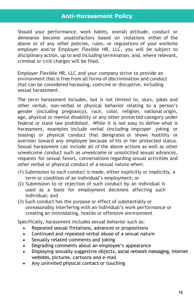<span id="page-15-0"></span>Should your performance, work habits, overall attitude, conduct or demeanor become unsatisfactory based on violations either of the above or of any other policies, rules, or regulations of your worksite employer and/or Employer Flexible HR, LLC, you will be subject to disciplinary action, up to and including termination, and, where relevant, criminal or civil charges will be filed.

Employer Flexible HR, LLC and your company strive to provide an environment that is free from all forms of discrimination and conduct that can be considered harassing, coercive or disruptive, including sexual harassment.

The term harassment includes, but is not limited to, slurs, jokes and other verbal, non-verbal or physical behavior relating to a person's gender (including pregnancy), race, color, religion, national origin, age, physical or mental disability or any other protected category under federal or state law prohibited. While it is not easy to define what is harassment, examples include verbal (including improper joking or teasing) or physical conduct that denigrates or shows hostility or aversion toward any employee because of his or her protected status. Sexual harassment can include all of the above actions as well as other unwelcome conduct such as unwelcome or unsolicited sexual advances, requests for sexual favors, conversations regarding sexual activities and other verbal or physical conduct of a sexual nature when:

- (1) Submission to such conduct is made, either explicitly or implicitly, a term or condition of an individual's employment; or
- (2) Submission to or rejection of such conduct by an individual is used as a basis for employment decisions affecting such individual; and
- (3) Such conduct has the purpose or effect of substantially or unreasonably interfering with an individual's work performance or creating an intimidating, hostile or offensive environment

Specifically, harassment includes sexual behavior such as:

- Repeated sexual flirtations, advances or propositions
- Continued and repeated verbal abuse of a sexual nature
- Sexually related comments and joking
- Degrading comments about an employee's appearance
- Displaying sexually suggestive objects, social network messaging, internet websites, pictures, cartoons and e-mail
- Any uninvited physical contact or touching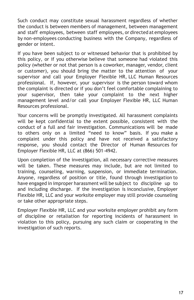Such conduct may constitute sexual harassment regardless of whether the conduct is between members of management, between management and staff employees, between staff employees, or directed at employees by non-employees conducting business with the Company, regardless of gender or intent.

If you have been subject to or witnessed behavior that is prohibited by this policy, or if you otherwise believe that someone had violated this policy (whether or not that person is a coworker, manager, vendor, client or customer), you should bring the matter to the attention of your supervisor and call your Employer Flexible HR, LLC Human Resources professional. If, however, your supervisor is the person toward whom the complaint is directed or if you don't feel comfortable complaining to your supervisor, then take your complaint to the next higher management level and/or call your Employer Flexible HR, LLC Human Resources professional.

Your concerns will be promptly investigated. All harassment complaints will be kept confidential to the extent possible, consistent with the conduct of a full and fair investigation. Communications will be made to others only on a limited "need to know" basis. If you make a complaint under this policy and have not received a satisfactory response, you should contact the Director of Human Resources for Employer Flexible HR, LLC at (866) 501-4942.

Upon completion of the investigation, all necessary corrective measures will be taken. These measures may include, but are not limited to training, counseling, warning, suspension, or immediate termination. Anyone, regardless of position or title, found through investigation to have engaged in improper harassment will be subject to discipline up to and including discharge. If the investigation is inconclusive, Employer Flexible HR, LLC and your worksite employer may still provide counseling or take other appropriate steps.

Employer Flexible HR, LLC and your worksite employer prohibit any form of discipline or retaliation for reporting incidents of harassment in violation to this policy, pursuing any such claim or cooperating in the investigation of such reports.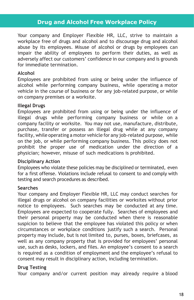# **Drug and Alcohol Free Workplace Policy**

<span id="page-17-0"></span>Your company and Employer Flexible HR, LLC, strive to maintain a workplace free of drugs and alcohol and to discourage drug and alcohol abuse by its employees. Misuse of alcohol or drugs by employees can impair the ability of employees to perform their duties, as well as adversely affect our customers' confidence in our company and is grounds for immediate termination.

#### **Alcohol**

Employees are prohibited from using or being under the influence of alcohol while performing company business, while operating a motor vehicle in the course of business or for any job-related purpose, or while on company premises or a worksite.

#### **Illegal Drugs**

Employees are prohibited from using or being under the influence of illegal drugs while performing company business or while on a company facility or worksite. You may not use, manufacture, distribute, purchase, transfer or possess an illegal drug while at any company facility, while operating a motor vehicle for any job-related purpose, while on the job, or while performing company business. This policy does not prohibit the proper use of medication under the direction of a physician; however, misuse of such medications is prohibited.

#### **Disciplinary Action**

Employees who violate these policies may be disciplined or terminated, even for a first offense. Violations include refusal to consent to and comply with testing and search procedures as described.

#### **Searches**

Your company and Employer Flexible HR, LLC may conduct searches for illegal drugs or alcohol on company facilities or worksites without prior notice to employees. Such searches may be conducted at any time. Employees are expected to cooperate fully. Searches of employees and their personal property may be conducted when there is reasonable suspicion to believe that the employee has violated this policy or when circumstances or workplace conditions justify such a search. Personal property may include, but is not limited to, purses, boxes, briefcases, as well as any company property that is provided for employees' personal use, such as desks, lockers, and files. An employee's consent to a search is required as a condition of employment and the employee's refusal to consent may result in disciplinary action, including termination.

#### **Drug Testing**

Your company and/or current position may already require a blood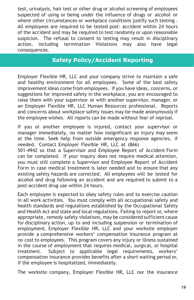test, urinalysis, hair test or other drug or alcohol screening of employees suspected of using or being under the influence of drugs or alcohol or where other circumstances or workplace conditions justify such testing . All employees are required to be tested post- accident within 24 hours of the accident and may be required to test randomly or upon reasonable suspicion. The refusal to consent to testing may result in disciplinary action, including termination Violations may also have legal consequences.

# **Safety Policy/Accident Reporting**

Employer Flexible HR, LLC and your company strive to maintain a safe and healthy environment for all employees. Some of the best safety improvement ideas come from employees. If you have ideas, concerns, or suggestions for improved safety in the workplace, you are encouraged to raise them with your supervisor or with another supervisor, manager, or an Employer Flexible HR, LLC Human Resources professional. Reports and concerns about workplace safety issues may be made anonymously if the employee wishes. All reports can be made without fear of reprisal.

If you or another employee is injured, contact your supervisor or manager immediately, no matter how insignificant an injury may seem at the time. Seek help from outside emergency response agencies, if needed. Contact Employer Flexible HR, LLC at (866)

501-4942 so that a Supervisor and Employee Report of Accident Form can be completed. If your inquiry does not require medical attention, you must still complete a Supervisor and Employee Report of Accident Form in case medical treatment is later needed and to ensure that any existing safety hazards are corrected. All employees will be tested for alcohol and drug following an accident and are required to submit to a post-accident drug use within 24 hours.

Each employee is expected to obey safety rules and to exercise caution in all work activities. You must comply with all occupational safety and health standards and regulations established by the Occupational Safety and Health Act and state and local regulations. Failing to report or, where appropriate, remedy safety violations, may be considered sufficient cause for disciplinary action, up to and including suspension or termination of employment. Employer Flexible HR, LLC and your worksite employer provide a comprehensive workers' compensation insurance program at no cost to employees. This program covers any injury or illness sustained in the course of employment that requires medical, surgical, or hospital treatment. Subject to applicable legal requirements, workers' compensation insurance provides benefits after a short waiting period or, if the employee is hospitalized, immediately.

The worksite company, Employer Flexible HR, LLC nor the insurance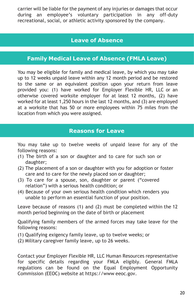carrier will be liable for the payment of any injuries or damages that occur during an employee's voluntary participation in any off-duty recreational, social, or athletic activity sponsored by the company.

# **Leave of Absence**

# <span id="page-19-0"></span>**Family Medical Leave of Absence (FMLA Leave)**

<span id="page-19-1"></span>You may be eligible for family and medical leave, by which you may take up to 12 weeks unpaid leave within any 12 month period and be restored to the same or an equivalent position upon your return from leave provided you: (1) have worked for Employer Flexible HR, LLC or an otherwise covered worksite employer for at least 12 months, (2) have worked for at least 1,250 hours in the last 12 months, and (3) are employed at a worksite that has 50 or more employees within 75 miles from the location from which you were assigned.

# **Reasons for Leave**

You may take up to twelve weeks of unpaid leave for any of the following reasons:

- (1) The birth of a son or daughter and to care for such son or daughter;
- (2) The placement of a son or daughter with you for adoption or foster care and to care for the newly placed son or daughter;
- (3) To care for a spouse, son, daughter or parent ("covered relation") with a serious health condition; or
- (4) Because of your own serious health condition which renders you unable to perform an essential function of your position.

Leave because of reasons (1) and (2) must be completed within the 12 month period beginning on the date of birth or placement

Qualifying family members of the armed forces may take leave for the following reasons:

- (1) Qualifying exigency family leave, up to twelve weeks; or
- (2) Military caregiver family leave, up to 26 weeks.

Contact your Employer Flexible HR, LLC Human Resources representative for specific details regarding your FMLA eligibly. General FMLA regulations can be found on the Equal Employment Opportunity Commission (EEOC) website at https://www eeoc.gov.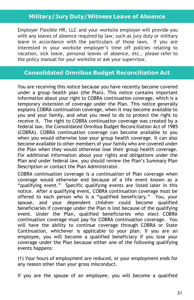# **Military/Jury Duty/Witness Leave of Absence**

<span id="page-20-0"></span>Employer Flexible HR, LLC and your worksite employer will provide you with any leaves of absence required by law, such as jury duty or military leave in accordance with the particulars of those laws. If you are interested in your worksite employer's time off policies relating to vacation, sick leave, personal leaves of absence, etc., please refer to the policy manual for your worksite or ask your supervisor.

## **Consolidated Omnibus Budget Reconciliation Act**

<span id="page-20-1"></span>You are receiving this notice because you have recently become covered under a group health plan (the Plan). This notice contains important information about your right to COBRA continuation coverage, which is a temporary extension of coverage under the Plan. This notice generally explains COBRA continuation coverage, when it may become available to you and your family, and what you need to do to protect the right to receive it. The right to COBRA continuation coverage was created by a federal law, the Consolidated Omnibus Budget Reconciliation Act of 1985 (COBRA). COBRA continuation coverage can become available to you when you would otherwise lose your group health coverage. It can also become available to other members of your family who are covered under the Plan when they would otherwise lose their group health coverage. For additional information about your rights and obligations under the Plan and under federal law, you should review the Plan's Summary Plan Description or contact the Plan Administrator.

COBRA continuation coverage is a continuation of Plan coverage when coverage would otherwise end because of a life event known as a "qualifying event." Specific qualifying events are listed later in this notice. After a qualifying event, COBRA continuation coverage must be offered to each person who is a "qualified beneficiary." You, your spouse, and your dependent children could become qualified beneficiaries if coverage under the Plan is lost because of the qualifying event. Under the Plan, qualified beneficiaries who elect COBRA continuation coverage must pay for COBRA continuation coverage. You will have the ability to continue coverage through COBRA or State Continuation, whichever is applicable to your plan. If you are an employee, you will become a qualified beneficiary if you lose your coverage under the Plan because either one of the following qualifying events happens:

(1) Your hours of employment are reduced, or your employment ends for any reason other than your gross misconduct.

If you are the spouse of an employee, you will become a qualified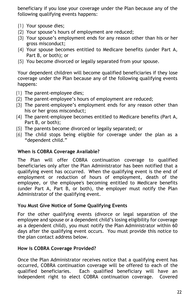beneficiary if you lose your coverage under the Plan because any of the following qualifying events happens:

- (1) Your spouse dies;
- (2) Your spouse's hours of employment are reduced;
- (3) Your spouse's employment ends for any reason other than his or her gross misconduct;
- (4) Your spouse becomes entitled to Medicare benefits (under Part A, Part B, or both); or
- (5) You become divorced or legally separated from your spouse.

Your dependent children will become qualified beneficiaries if they lose coverage under the Plan because any of the following qualifying events happens:

- (1) The parent-employee dies;
- (2) The parent-employee's hours of employment are reduced;
- (3) The parent-employee's employment ends for any reason other than his or her gross misconduct;
- (4) The parent-employee becomes entitled to Medicare benefits (Part A, Part B, or both);
- (5) The parents become divorced or legally separated; or
- (6) The child stops being eligible for coverage under the plan as a "dependent child."

#### **When is COBRA Coverage Available?**

The Plan will offer COBRA continuation coverage to qualified beneficiaries only after the Plan Administrator has been notified that a qualifying event has occurred. When the qualifying event is the end of employment or reduction of hours of employment, death of the employee, or the employee's becoming entitled to Medicare benefits (under Part A, Part B, or both), the employer must notify the Plan Administrator of the qualifying event.

#### **You Must Give Notice of Some Qualifying Events**

For the other qualifying events (divorce or legal separation of the employee and spouse or a dependent child's losing eligibility for coverage as a dependent child), you must notify the Plan Administrator within 60 days after the qualifying event occurs. You must provide this notice to the plan contact address below.

#### **How is COBRA Coverage Provided?**

Once the Plan Administrator receives notice that a qualifying event has occurred, COBRA continuation coverage will be offered to each of the qualified beneficiaries. Each qualified beneficiary will have an independent right to elect COBRA continuation coverage. Covered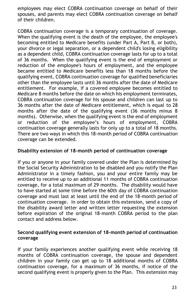employees may elect COBRA continuation coverage on behalf of their spouses, and parents may elect COBRA continuation coverage on behalf of their children.

COBRA continuation coverage is a temporary continuation of coverage. When the qualifying event is the death of the employee, the employee's becoming entitled to Medicare benefits (under Part A, Part B, or both), your divorce or legal separation, or a dependent child's losing eligibility as a dependent child, COBRA continuation coverage lasts for up to a total of 36 months. When the qualifying event is the end of employment or reduction of the employee's hours of employment, and the employee became entitled to Medicare benefits less than 18 months before the qualifying event, COBRA continuation coverage for qualified beneficiaries other than the employee lasts until 36 months after the date of Medicare entitlement. For example, if a covered employee becomes entitled to Medicare 8 months before the date on which his employment terminates, COBRA continuation coverage for his spouse and children can last up to 36 months after the date of Medicare entitlement, which is equal to 28 months after the date of the qualifying event (36 months minus 8 months). Otherwise, when the qualifying event is the end of employment or reduction of the employee's hours of employment, COBRA continuation coverage generally lasts for only up to a total of 18 months. There are two ways in which this 18-month period of COBRA continuation coverage can be extended.

#### **Disability extension of 18-month period of continuation coverage**

If you or anyone in your family covered under the Plan is determined by the Social Security Administration to be disabled and you notify the Plan Administrator in a timely fashion, you and your entire family may be entitled to receive up to an additional 11 months of COBRA continuation coverage, for a total maximum of 29 months. The disability would have to have started at some time before the 60th day of COBRA continuation coverage and must last at least until the end of the 18-month period of continuation coverage. In order to obtain this extension, send a copy of the disability award letter and written letter requesting the extension before expiration of the original 18-month COBRA period to the plan contact and address below.

#### **Second qualifying event extension of 18-month period of continuation coverage**

If your family experiences another qualifying event while receiving 18 months of COBRA continuation coverage, the spouse and dependent children in your family can get up to 18 additional months of COBRA continuation coverage, for a maximum of 36 months, if notice of the second qualifying event is properly given to the Plan. This extension may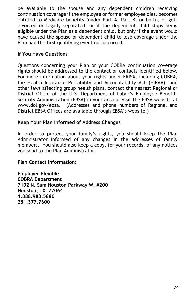be available to the spouse and any dependent children receiving continuation coverage if the employee or former employee dies, becomes entitled to Medicare benefits (under Part A, Part B, or both), or gets divorced or legally separated, or if the dependent child stops being eligible under the Plan as a dependent child, but only if the event would have caused the spouse or dependent child to lose coverage under the Plan had the first qualifying event not occurred.

#### **If You Have Questions**

Questions concerning your Plan or your COBRA continuation coverage rights should be addressed to the contact or contacts identified below. For more information about your rights under ERISA, including COBRA, the Health Insurance Portability and Accountability Act (HIPAA), and other laws affecting group health plans, contact the nearest Regional or District Office of the U.S. Department of Labor's Employee Benefits Security Administration (EBSA) in your area or visit the EBSA website at www.dol.gov/ebsa. (Addresses and phone numbers of Regional and District EBSA Offices are available through EBSA's website.)

#### **Keep Your Plan Informed of Address Changes**

In order to protect your family's rights, you should keep the Plan Administrator informed of any changes in the addresses of family members.You should also keep a copy, for your records, of any notices you send to the Plan Administrator.

**Plan Contact Information:**

**Employer Flexible COBRA Department 7102 N. Sam Houston Parkway W. #200 Houston, TX 77064 1.888.983.5880 281.377.7600**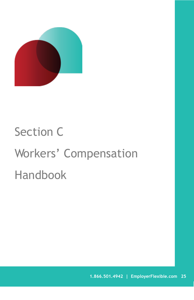

# <span id="page-24-0"></span>Section C Workers' Compensation Handbook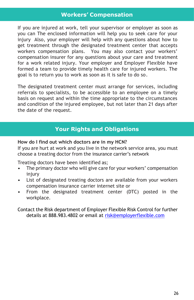# <span id="page-25-0"></span>**Workers' Compensation**

If you are injured at work, tell your supervisor or employer as soon as you can The enclosed information will help you to seek care for your injury Also, your employer will help with any questions about how to get treatment through the designated treatment center that accepts workers compensation plans. You may also contact your workers' compensation insurer for any questions about your care and treatment for a work related injury. Your employer and Employer Flexible have formed a team to provide timely health care for injured workers. The goal is to return you to work as soon as it is safe to do so.

The designated treatment center must arrange for services, including referrals to specialists, to be accessible to an employee on a timely basis on request and within the time appropriate to the circumstances and condition of the injured employee, but not later than 21 days after the date of the request.

# **Your Rights and Obligations**

#### <span id="page-25-1"></span>**How do I find out which doctors are in my HCN?**

If you are hurt at work and you live in the network service area, you must choose a treating doctor from the insurance carrier's network

Treating doctors have been identified as;

- The primary doctor who will give care for your workers' compensation injury
- List of designated treating doctors are available from your workers compensation insurance carrier internet site or
- From the designated treatment center (DTC) posted in the workplace.

Contact the Risk department of Employer Flexible Risk Control for further details at 888.983.4802 or email at [risk@employerflexible.com](mailto:risk@employerflexible.com)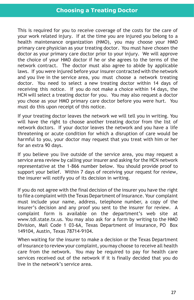<span id="page-26-0"></span>This is required for you to receive coverage of the costs for the care of your work related injury. If at the time you are injured you belong to a health maintenance organization (HMO), you may choose your HMO primary care physician as your treating doctor. You must have chosen the doctor as your primary care doctor prior to your injury. We will approve the choice of your HMO doctor if he or she agrees to the terms of the network contract. The doctor must also agree to abide by applicable laws. If you were injured before your insurer contracted with the network and you live in the service area, you must choose a network treating doctor. You need to select a new treating doctor within 14 days of receiving this notice. If you do not make a choice within 14 days, the HCN will select a treating doctor for you. You may also request a doctor you chose as your HMO primary care doctor before you were hurt. You must do this upon receipt of this notice.

If your treating doctor leaves the network we will tell you in writing. You will have the right to choose another treating doctor from the list of network doctors. If your doctor leaves the network and you have a life threatening or acute condition for which a disruption of care would be harmful to you, your doctor may request that you treat with him or her for an extra 90 days.

If you believe you live outside of the service area, you may request a service area review by calling your insurer and asking for the HCN network representative at the 1-866 number below. You should provide proof to support your belief. Within 7 days of receiving your request for review, the insurer will notify you of its decision in writing.

If you do not agree with the final decision of the insurer you have the right to file a complaint with the Texas Department of Insurance. Your complaint must include your name, address, telephone number, a copy of the insurer's decision and any proof you sent to the insurer for review. A complaint form is available on the department's web site at www.tdi.state.tx.us. You may also ask for a form by writing to the HMO Division, Mail Code 1 03-6A, Texas Department of Insurance, PO Box 149104, Austin, Texas 78714-9104.

When waiting for the insurer to make a decision or the Texas Department of Insurance to review your complaint, you may choose to receive all health care from the network. You may be required to pay for health care services received out of the network if it is finally decided that you do live in the network's service area.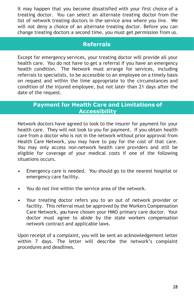It may happen that you become dissatisfied with your first choice of a treating doctor. You can select an alternate treating doctor from the list of network treating doctors in the service area where you live. We will not deny a choice of an alternate treating doctor. Before you can change treating doctors a second time, you must get permission from us.

# **Referrals**

Except for emergency services, your treating doctor will provide all your health care. You do not have to get a referral if you have an emergency health condition. The Network must arrange for services, including referrals to specialists, to be accessible to an employee on a timely basis on request and within the time appropriate to the circumstances and condition of the injured employee, but not later than 21 days after the date of the request.

# **Payment for Health Care and Limitations of Accessibility**

<span id="page-27-0"></span>Network doctors have agreed to look to the insurer for payment for your health care. They will not look to you for payment. If you obtain health care from a doctor who is not in the network without prior approval from Health Care Network, you may have to pay for the cost of that care. You may only access non-network health care providers and still be eligible for coverage of your medical costs if one of the following situations occurs.

- Emergency care is needed. You should go to the nearest hospital or emergency care facility.
- You do not live within the service area of the network.
- Your treating doctor refers you to an out of network provider or facility. This referral must be approved by the Workers Compensation Care Network, you have chosen your HMO primary care doctor. Your doctor must agree to abide by the state workers compensation network contract and applicable laws.

Upon receipt of a complaint, you will be sent an acknowledgement letter within 7 days. The letter will describe the network's complaint procedures and deadlines.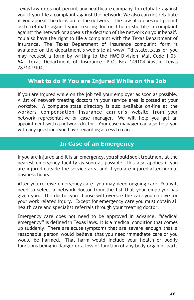Texas law does not permit any healthcare company to retaliate against you if you file a complaint against the network. We also can not retaliate if you appeal the decision of the network. The law also does not permit us to retaliate against your treating doctor if he or she files a complaint against the network or appeals the decision of the network on your behalf. You also have the right to file a complaint with the Texas Department of Insurance. The Texas Department of Insurance complaint form is available on the department's web site at www. Tdi.state.tx.us or you may request a form by writing to the HMO Division, Mail Code 1 03- 6A, Texas Department of Insurance, P.O. Box 149104 Austin, Texas 78714-9104.

### **What to do if You are Injured While on the Job**

<span id="page-28-0"></span>If you are injured while on the job tell your employer as soon as possible. A list of network treating doctors in your service area is posted at your worksite. A complete state directory is also available on-line at the workers compensation insurance carrier's website from your network representative or case manager. We will help you get an appointment with a network doctor. Your case manager can also help you with any questions you have regarding access to care.

### **In Case of an Emergency**

<span id="page-28-1"></span>If you are injured and it is an emergency, you should seek treatment at the nearest emergency facility as soon as possible. This also applies if you are injured outside the service area and if you are injured after normal business hours.

After you receive emergency care, you may need ongoing care. You will need to select a network doctor from the list that your employer has given you. The doctor you choose will oversee the care you receive for your work related injury. Except for emergency care you must obtain all health care and specialist referrals through your treating doctor.

Emergency care does not need to be approved in advance. "Medical emergency" is defined in Texas laws. It is a medical condition that comes up suddenly. There are acute symptoms that are severe enough that a reasonable person would believe that you need immediate care or you would be harmed. That harm would include your health or bodily functions being in danger or a loss of function of any body organ or part.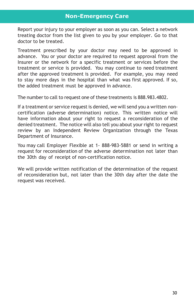<span id="page-29-0"></span>Report your injury to your employer as soon as you can. Select a network treating doctor from the list given to you by your employer. Go to that doctor to be treated.

Treatment prescribed by your doctor may need to be approved in advance. You or your doctor are required to request approval from the Insurer or the network for a specific treatment or services before the treatment or service is provided. You may continue to need treatment after the approved treatment is provided. For example, you may need to stay more days in the hospital than what was first approved. If so, the added treatment must be approved in advance.

The number to call to request one of these treatments is 888.983.4802.

If a treatment or service request is denied, we will send you a written noncertification (adverse determination) notice. This written notice will have information about your right to request a reconsideration of the denied treatment. The notice will also tell you about your right to request review by an Independent Review Organization through the Texas Department of Insurance.

You may call Employer Flexible at 1- 888-983-5881 or send in writing a request for reconsideration of the adverse determination not later than the 30th day of receipt of non-certification notice.

We will provide written notification of the determination of the request of reconsideration but, not later than the 30th day after the date the request was received.